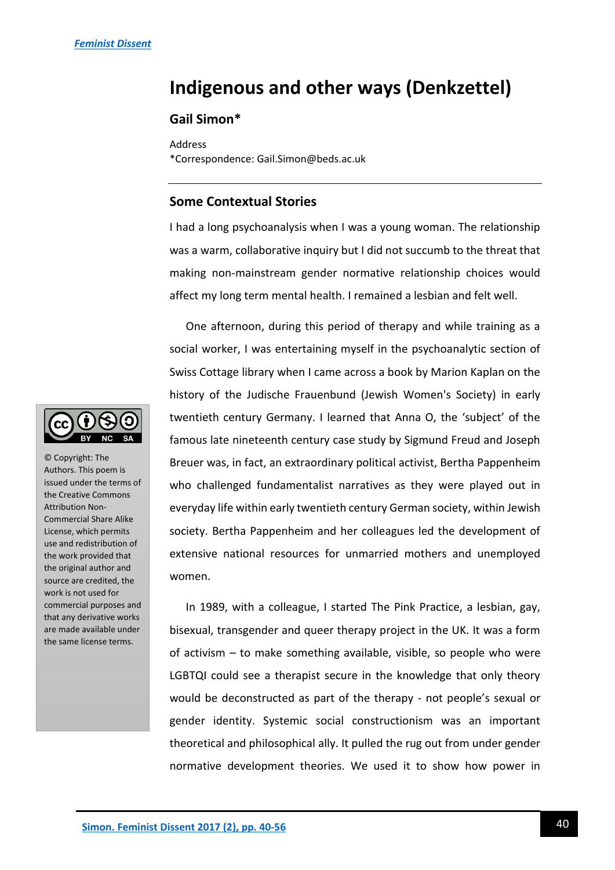# **Indigenous and other ways (Denkzettel)**

# **Gail Simon\***

Address \*Correspondence: Gail.Simon@beds.ac.uk

## **Some Contextual Stories**

I had a long psychoanalysis when I was a young woman. The relationship was a warm, collaborative inquiry but I did not succumb to the threat that making non-mainstream gender normative relationship choices would affect my long term mental health. I remained a lesbian and felt well.

One afternoon, during this period of therapy and while training as a social worker, I was entertaining myself in the psychoanalytic section of Swiss Cottage library when I came across a book by Marion Kaplan on the history of the Judische Frauenbund (Jewish Women's Society) in early twentieth century Germany. I learned that Anna O, the 'subject' of the famous late nineteenth century case study by Sigmund Freud and Joseph Breuer was, in fact, an extraordinary political activist, Bertha Pappenheim who challenged fundamentalist narratives as they were played out in everyday life within early twentieth century German society, within Jewish society. Bertha Pappenheim and her colleagues led the development of extensive national resources for unmarried mothers and unemployed women.

In 1989, with a colleague, I started The Pink Practice, a lesbian, gay, bisexual, transgender and queer therapy project in the UK. It was a form of activism – to make something available, visible, so people who were LGBTQI could see a therapist secure in the knowledge that only theory would be deconstructed as part of the therapy - not people's sexual or gender identity. Systemic social constructionism was an important theoretical and philosophical ally. It pulled the rug out from under gender normative development theories. We used it to show how power in



© Copyright: The Authors. This poem is issued under the terms of the Creative Commons Attribution Non-Commercial Share Alike License, which permits use and redistribution of the work provided that the original author and source are credited, the work is not used for commercial purposes and that any derivative works are made available under the same license terms.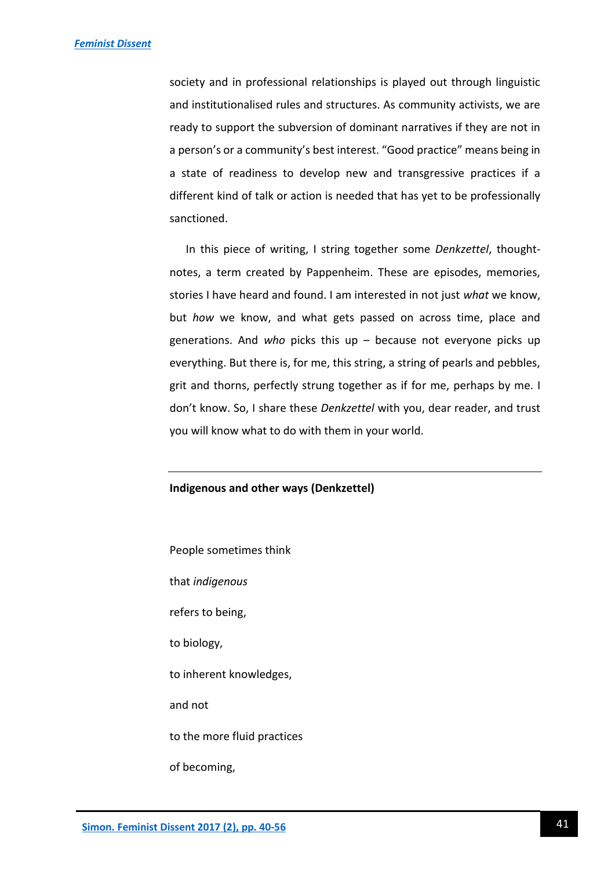society and in professional relationships is played out through linguistic and institutionalised rules and structures. As community activists, we are ready to support the subversion of dominant narratives if they are not in a person's or a community's best interest. "Good practice" means being in a state of readiness to develop new and transgressive practices if a different kind of talk or action is needed that has yet to be professionally sanctioned.

In this piece of writing, I string together some *Denkzettel*, thoughtnotes, a term created by Pappenheim. These are episodes, memories, stories I have heard and found. I am interested in not just *what* we know, but *how* we know, and what gets passed on across time, place and generations. And *who* picks this up – because not everyone picks up everything. But there is, for me, this string, a string of pearls and pebbles, grit and thorns, perfectly strung together as if for me, perhaps by me. I don't know. So, I share these *Denkzettel* with you, dear reader, and trust you will know what to do with them in your world.

#### **Indigenous and other ways (Denkzettel)**

People sometimes think that *indigenous* refers to being, to biology, to inherent knowledges, and not to the more fluid practices of becoming,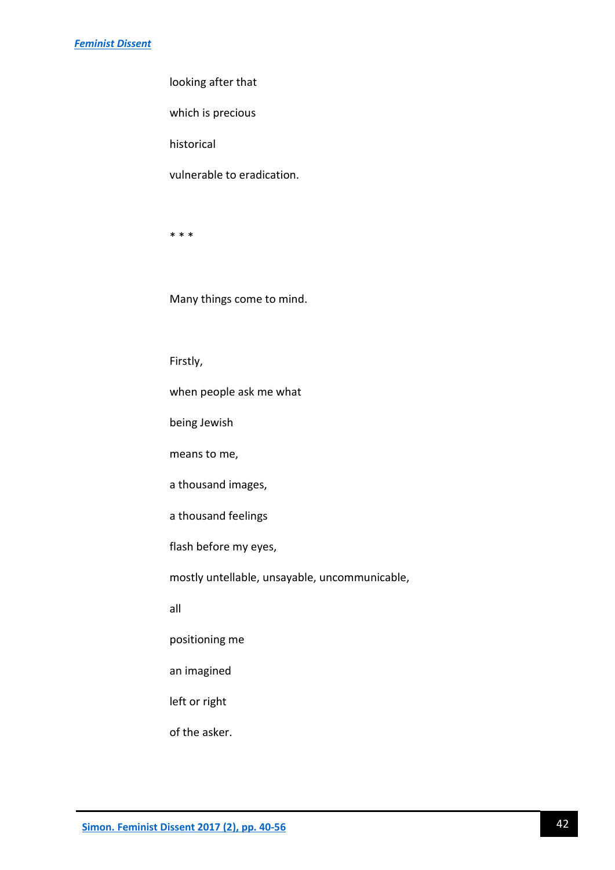looking after that

which is precious

historical

vulnerable to eradication.

\* \* \*

Many things come to mind.

Firstly,

when people ask me what

being Jewish

means to me,

a thousand images,

a thousand feelings

flash before my eyes,

mostly untellable, unsayable, uncommunicable,

all

positioning me

an imagined

left or right

of the asker.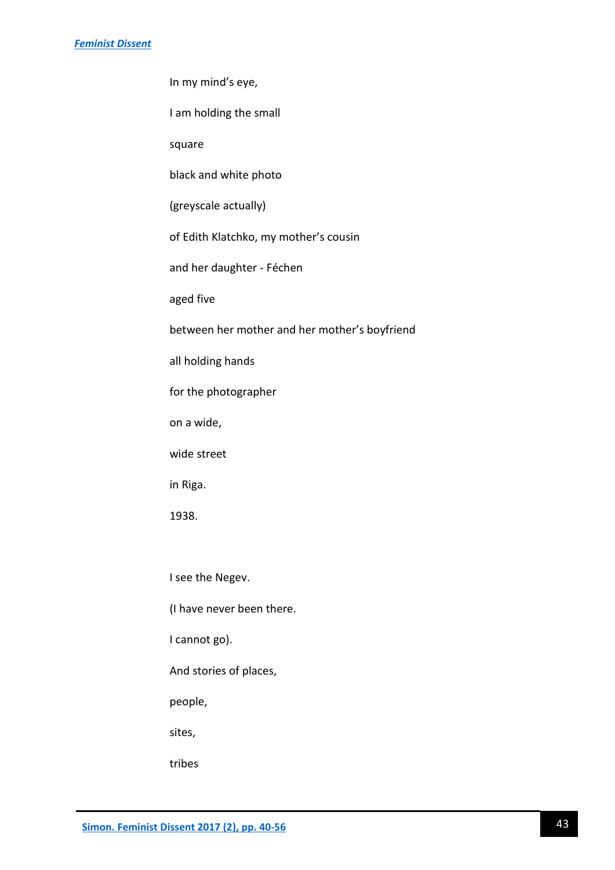#### *[Feminist Dissent](http://journals.warwick.ac.uk/index.php/feministdissent/issue/view/2)*

In my mind's eye,

I am holding the small

square

black and white photo

(greyscale actually)

of Edith Klatchko, my mother's cousin

and her daughter - Féchen

aged five

between her mother and her mother's boyfriend

all holding hands

for the photographer

on a wide,

wide street

in Riga.

1938.

I see the Negev.

(I have never been there.

I cannot go).

And stories of places,

people,

sites,

tribes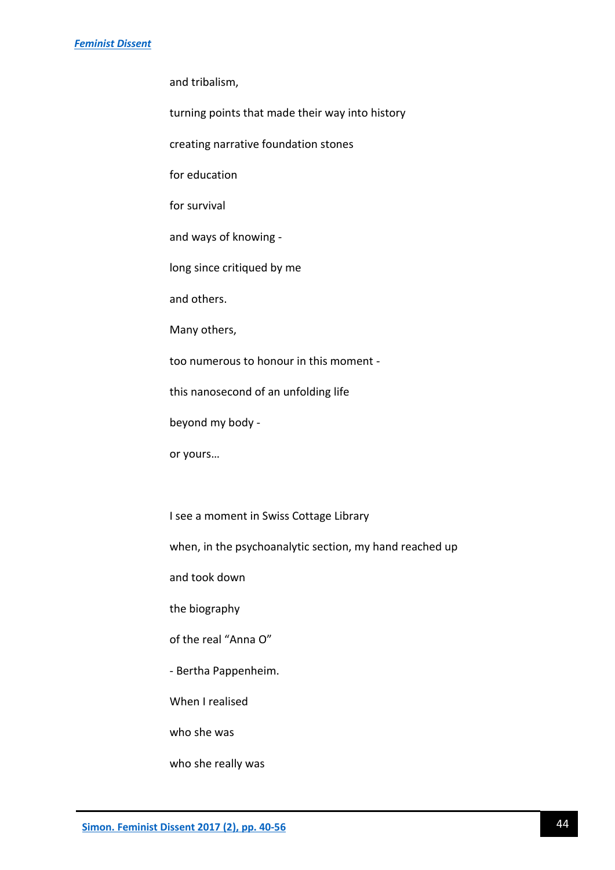and tribalism,

turning points that made their way into history

creating narrative foundation stones

for education

for survival

and ways of knowing -

long since critiqued by me

and others.

Many others,

too numerous to honour in this moment -

this nanosecond of an unfolding life

beyond my body -

or yours…

I see a moment in Swiss Cottage Library

when, in the psychoanalytic section, my hand reached up

and took down

the biography

of the real "Anna O"

- Bertha Pappenheim.

When I realised

who she was

who she really was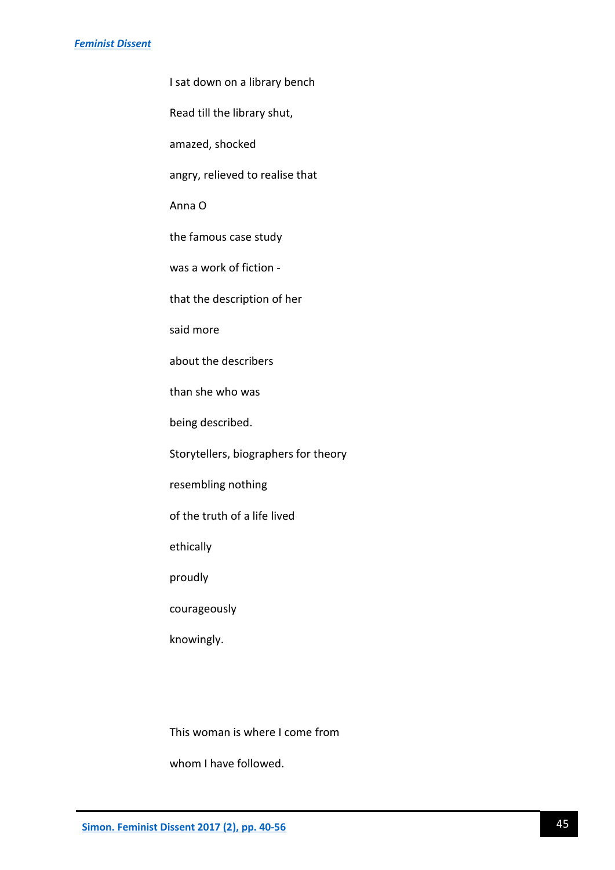I sat down on a library bench

Read till the library shut,

amazed, shocked

angry, relieved to realise that

Anna O

the famous case study

was a work of fiction -

that the description of her

said more

about the describers

than she who was

being described.

Storytellers, biographers for theory

resembling nothing

of the truth of a life lived

ethically

proudly

courageously

knowingly.

This woman is where I come from

whom I have followed.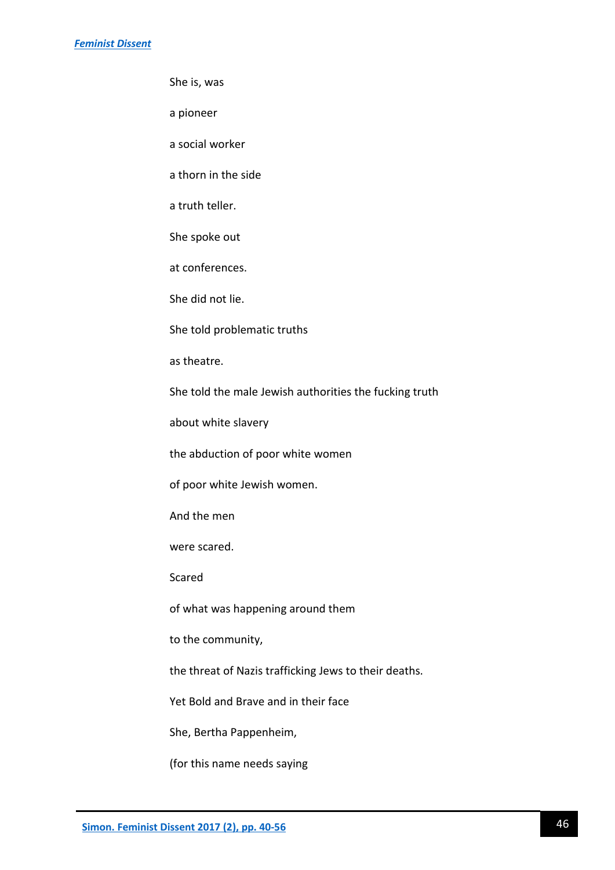She is, was

a pioneer

a social worker

a thorn in the side

a truth teller.

She spoke out

at conferences.

She did not lie.

She told problematic truths

as theatre.

She told the male Jewish authorities the fucking truth

about white slavery

the abduction of poor white women

of poor white Jewish women.

And the men

were scared.

Scared

of what was happening around them

to the community,

the threat of Nazis trafficking Jews to their deaths.

Yet Bold and Brave and in their face

She, Bertha Pappenheim,

(for this name needs saying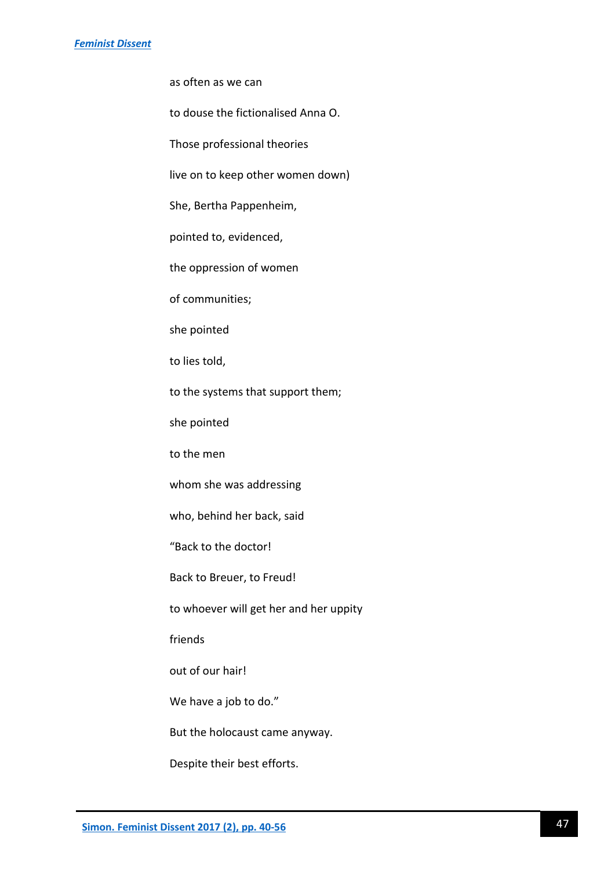as often as we can

to douse the fictionalised Anna O.

Those professional theories

live on to keep other women down)

She, Bertha Pappenheim,

pointed to, evidenced,

the oppression of women

of communities;

she pointed

to lies told,

to the systems that support them;

she pointed

to the men

whom she was addressing

who, behind her back, said

"Back to the doctor!

Back to Breuer, to Freud!

to whoever will get her and her uppity

friends

out of our hair!

We have a job to do."

But the holocaust came anyway.

Despite their best efforts.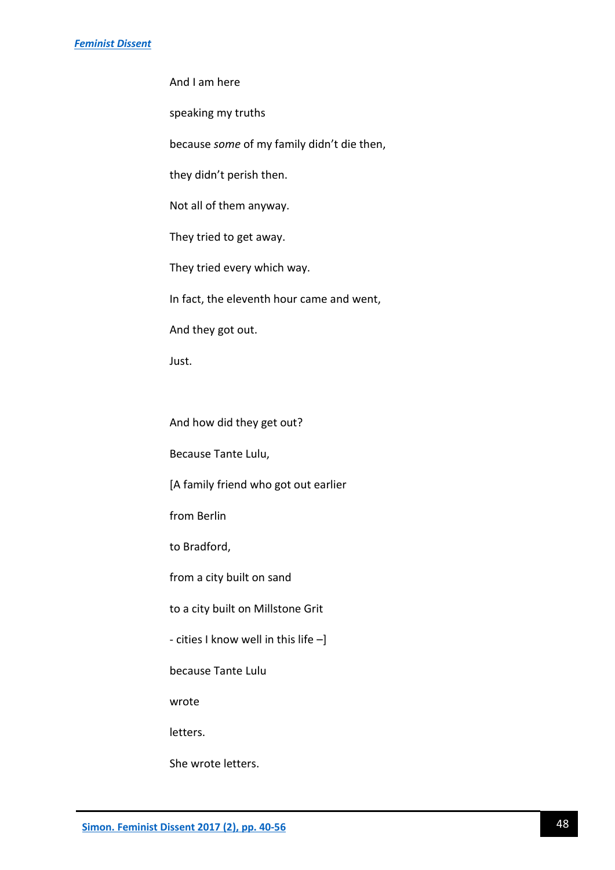And I am here

speaking my truths

because *some* of my family didn't die then,

they didn't perish then.

Not all of them anyway.

They tried to get away.

They tried every which way.

In fact, the eleventh hour came and went,

And they got out.

Just.

And how did they get out?

Because Tante Lulu,

[A family friend who got out earlier

from Berlin

to Bradford,

from a city built on sand

to a city built on Millstone Grit

- cities I know well in this life –]

because Tante Lulu

wrote

letters.

She wrote letters.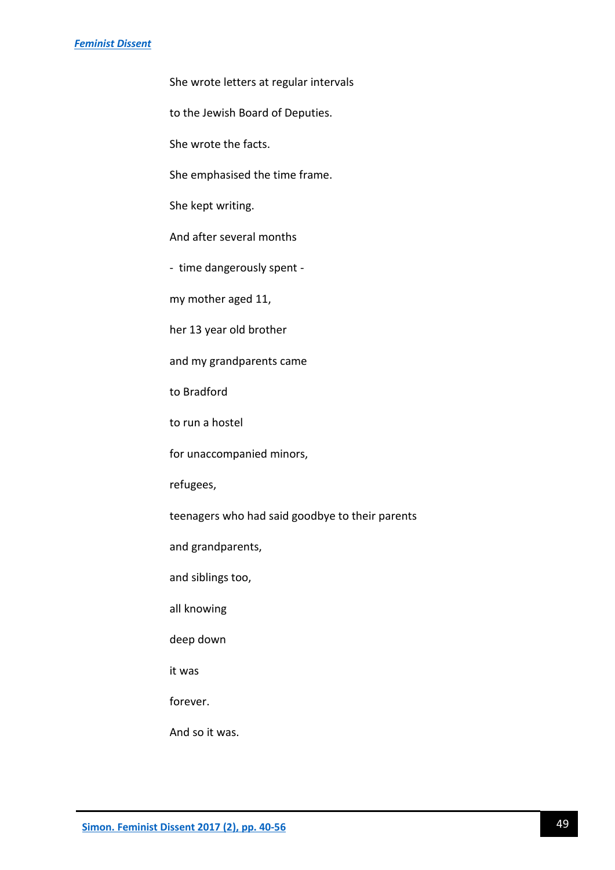#### *[Feminist Dissent](http://journals.warwick.ac.uk/index.php/feministdissent/issue/view/2)*

She wrote letters at regular intervals

to the Jewish Board of Deputies.

She wrote the facts.

She emphasised the time frame.

She kept writing.

And after several months

- time dangerously spent -

my mother aged 11,

her 13 year old brother

and my grandparents came

to Bradford

to run a hostel

for unaccompanied minors,

refugees,

teenagers who had said goodbye to their parents

and grandparents,

and siblings too,

all knowing

deep down

it was

forever.

And so it was.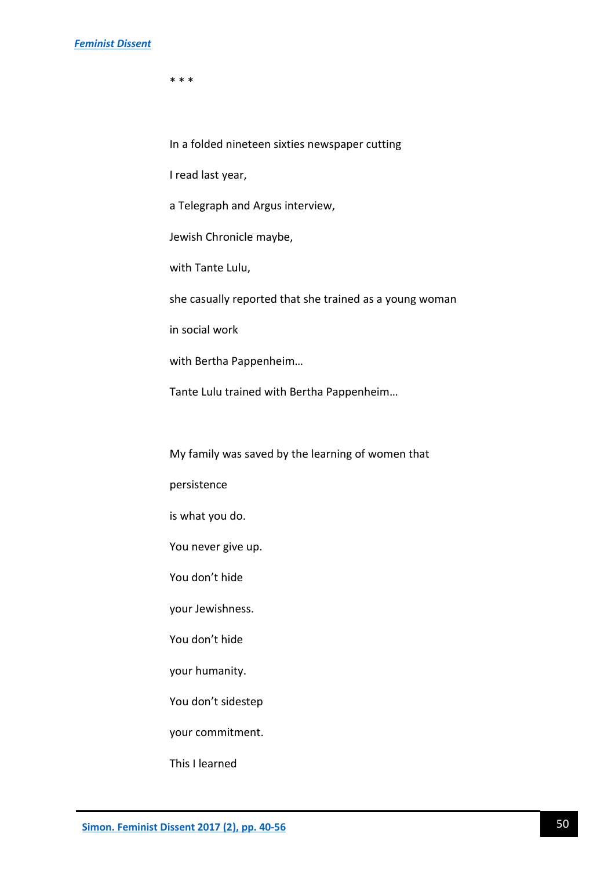\* \* \*

In a folded nineteen sixties newspaper cutting

I read last year,

a Telegraph and Argus interview,

Jewish Chronicle maybe,

with Tante Lulu,

she casually reported that she trained as a young woman

in social work

with Bertha Pappenheim…

Tante Lulu trained with Bertha Pappenheim…

My family was saved by the learning of women that

persistence

is what you do.

You never give up.

You don't hide

your Jewishness.

You don't hide

your humanity.

You don't sidestep

your commitment.

This I learned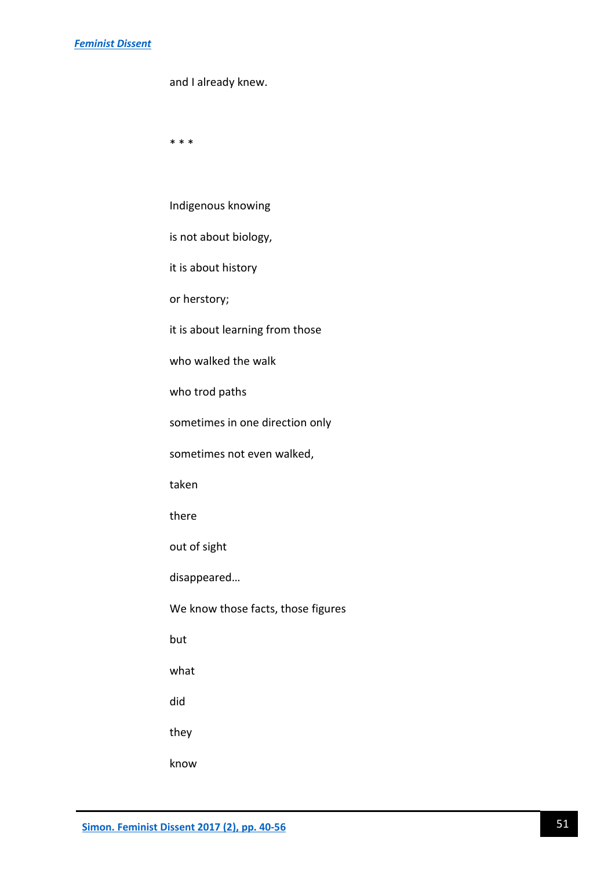# *[Feminist Dissent](http://journals.warwick.ac.uk/index.php/feministdissent/issue/view/2)*

\* \* \*

| Indigenous knowing                 |
|------------------------------------|
| is not about biology,              |
| it is about history                |
| or herstory;                       |
| it is about learning from those    |
| who walked the walk                |
| who trod paths                     |
| sometimes in one direction only    |
| sometimes not even walked,         |
| taken                              |
| there                              |
| out of sight                       |
| disappeared                        |
| We know those facts, those figures |
| but                                |
| what                               |
| did                                |
| they                               |
| know                               |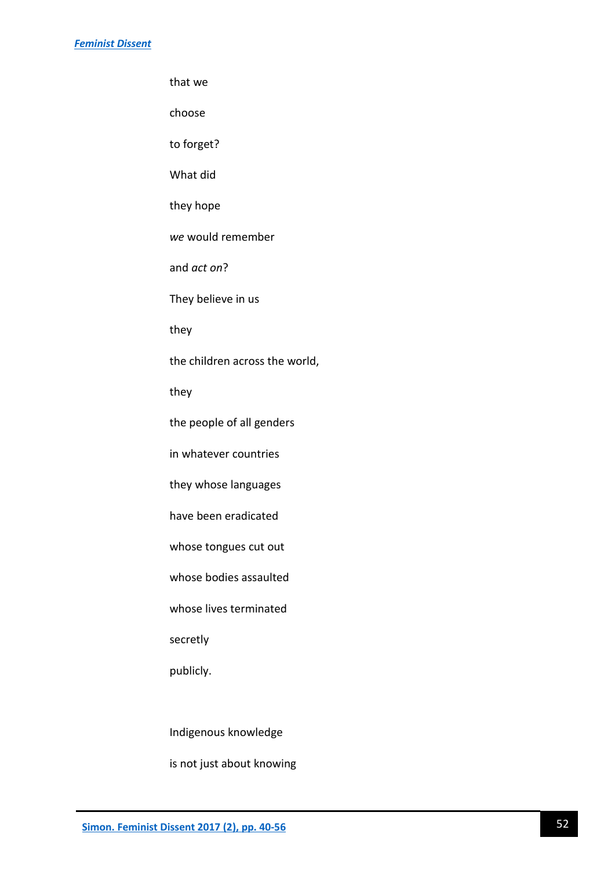that we

choose

to forget?

What did

they hope

*we* would remember

and *act on*?

They believe in us

they

the children across the world,

they

the people of all genders

in whatever countries

they whose languages

have been eradicated

whose tongues cut out

whose bodies assaulted

whose lives terminated

secretly

publicly.

Indigenous knowledge

is not just about knowing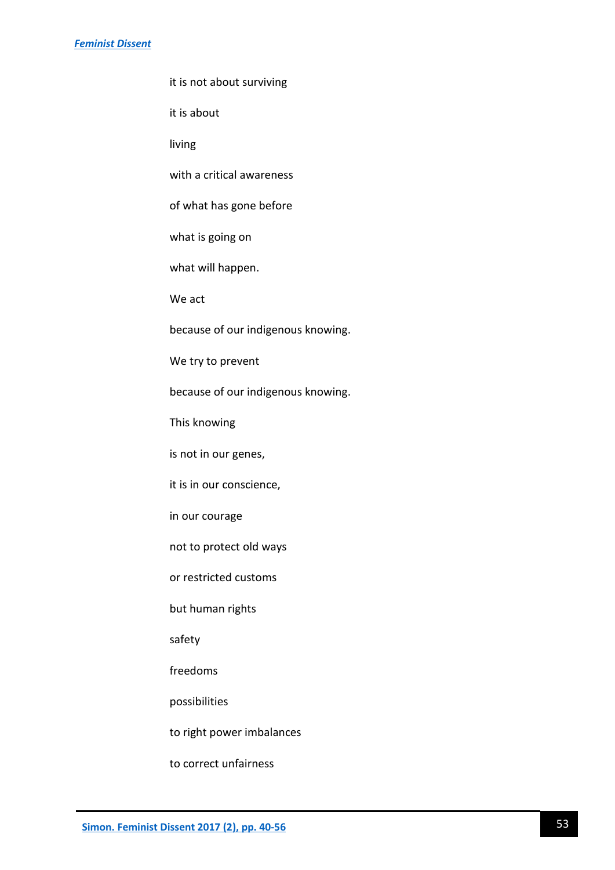it is not about surviving

it is about

living

with a critical awareness

of what has gone before

what is going on

what will happen.

We act

because of our indigenous knowing.

We try to prevent

because of our indigenous knowing.

This knowing

is not in our genes,

it is in our conscience,

in our courage

not to protect old ways

or restricted customs

but human rights

safety

freedoms

possibilities

to right power imbalances

to correct unfairness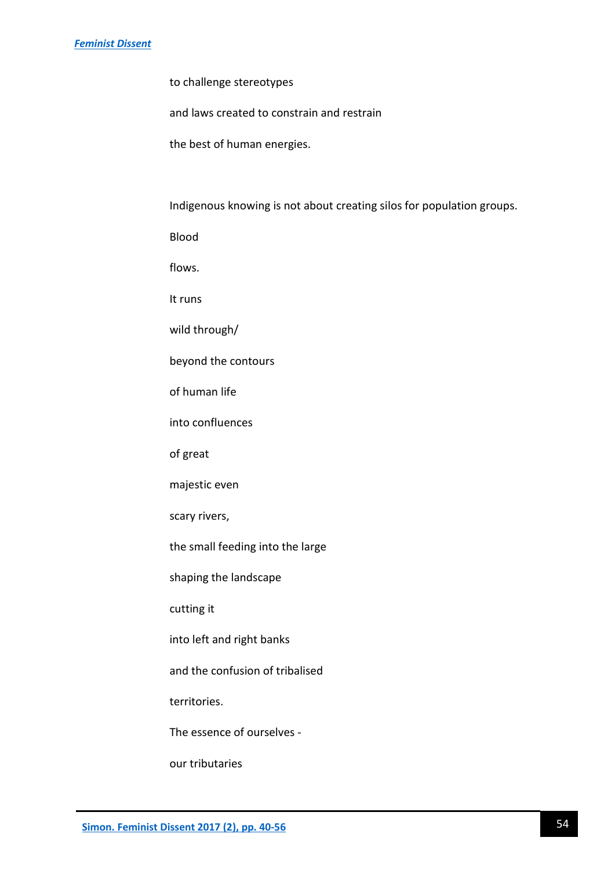to challenge stereotypes

and laws created to constrain and restrain

the best of human energies.

Indigenous knowing is not about creating silos for population groups.

Blood

flows.

It runs

wild through/

beyond the contours

of human life

into confluences

of great

majestic even

scary rivers,

the small feeding into the large

shaping the landscape

cutting it

into left and right banks

and the confusion of tribalised

territories.

The essence of ourselves -

our tributaries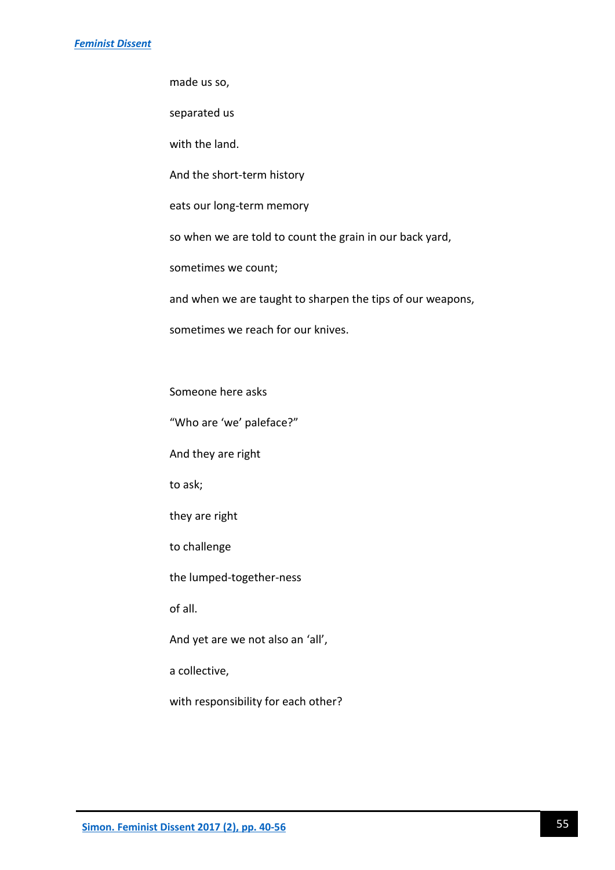made us so,

separated us

with the land.

And the short-term history

eats our long-term memory

so when we are told to count the grain in our back yard,

sometimes we count;

and when we are taught to sharpen the tips of our weapons,

sometimes we reach for our knives.

Someone here asks

"Who are 'we' paleface?"

And they are right

to ask;

they are right

to challenge

the lumped-together-ness

of all.

And yet are we not also an 'all',

a collective,

with responsibility for each other?